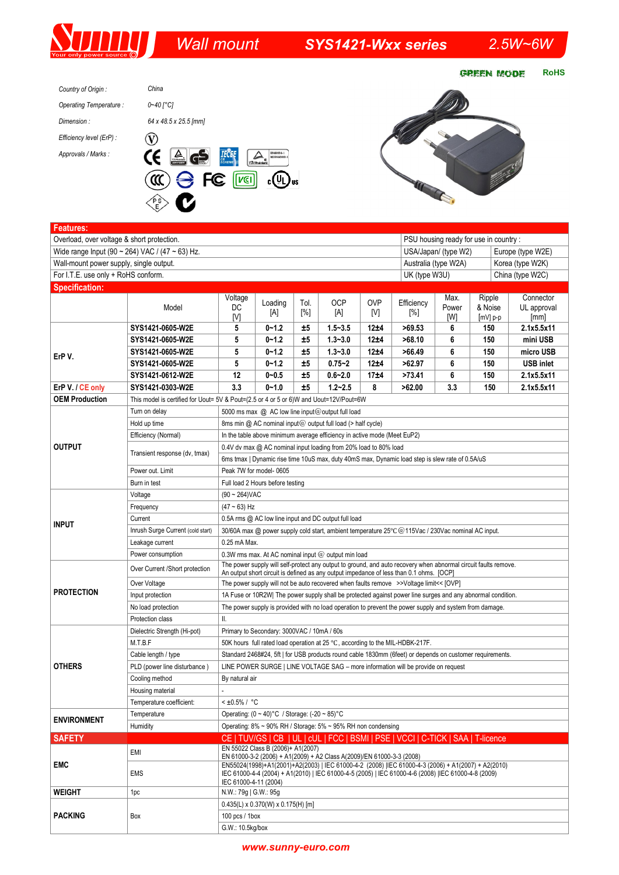*Wall mount SYS1421-Wxx series 2.5W~6W* 

**GREEN MODE RoHS** 





| Overload, over voltage & short protection.<br>PSU housing ready for use in country:<br>Wide range Input (90 ~ 264) VAC / (47 ~ 63) Hz.<br>USA/Japan/ (type W2)<br>Europe (type W2E)<br>Australia (type W2A)<br>Wall-mount power supply, single output.<br>Korea (type W2K)<br>For I.T.E. use only + RoHS conform.<br>UK (type W3U)<br>China (type W2C)<br><b>Specification:</b><br>Voltage<br>Ripple<br>Connector<br>Max.<br><b>OCP</b><br><b>OVP</b><br>Loading<br>Efficiency<br>Tol.<br>Model<br>DC<br>& Noise<br>Power<br>UL approval<br>[%]<br>[A]<br>[A]<br>[V]<br>[%]<br>[V]<br>[W]<br>[mm]<br>$[mV]$ p-p<br>SYS1421-0605-W2E<br>5<br>$0 - 1.2$<br>$1.5 - 3.5$<br>12±4<br>>69.53<br>150<br>2.1x5.5x11<br>±5<br>6<br>5<br>$0 - 1.2$<br>±5<br>$1.3 - 3.0$<br>12±4<br>>68.10<br>6<br>150<br>mini USB<br>SYS1421-0605-W2E<br>5<br>$0 - 1.2$<br>±5<br>$1.3 - 3.0$<br>12±4<br>>66.49<br>6<br>150<br>micro USB<br>SYS1421-0605-W2E<br>ErP V.<br>5<br>$0 - 1.2$<br>±5<br>$0.75 - 2$<br>12±4<br>>62.97<br>6<br>150<br><b>USB inlet</b><br>SYS1421-0605-W2E<br>12<br>6<br>2.1x5.5x11<br>SYS1421-0612-W2E<br>$0 - 0.5$<br>±5<br>$0.6 - 2.0$<br>17±4<br>>73.41<br>150<br>3.3<br>ErP V. / CE only<br>SYS1421-0303-W2E<br>$0 - 1.0$<br>±5<br>$1.2 - 2.5$<br>8<br>>62.00<br>3.3<br>150<br>2.1x5.5x11<br><b>OEM Production</b><br>This model is certified for Uout= 5V & Pout=(2.5 or 4 or 5 or 6)W and Uout=12V/Pout=6W<br>Turn on delay<br>5000 ms max @ AC low line input@output full load<br>Hold up time<br>8ms min $@$ AC nominal input $@$ output full load (> half cycle)<br>Efficiency (Normal)<br>In the table above minimum average efficiency in active mode (Meet EuP2)<br><b>OUTPUT</b><br>0.4V dv max @ AC nominal input loading from 20% load to 80% load<br>Transient response (dv, tmax)<br>6ms tmax   Dynamic rise time 10uS max, duty 40mS max, Dynamic load step is slew rate of 0.5A/uS<br>Power out. Limit<br>Peak 7W for model-0605<br>Burn in test<br>Full load 2 Hours before testing<br>$(90 - 264)$ VAC<br>Voltage<br>$(47 - 63)$ Hz<br>Frequency<br>Current<br>0.5A rms @ AC low line input and DC output full load<br><b>INPUT</b><br>Inrush Surge Current (cold start)<br>30/60A max @ power supply cold start, ambient temperature 25°C @ 115Vac / 230Vac nominal AC input.<br>0.25 mA Max.<br>Leakage current<br>Power consumption<br>0.3W rms max. At AC nominal input $@$ output min load<br>The power supply will self-protect any output to ground, and auto recovery when abnormal circuit faults remove.<br>Over Current /Short protection<br>An output short circuit is defined as any output impedance of less than 0.1 ohms. [OCP]<br>Over Voltage<br>The power supply will not be auto recovered when faults remove >>Voltage limit<< [OVP]<br><b>PROTECTION</b><br>1A Fuse or 10R2W  The power supply shall be protected against power line surges and any abnormal condition.<br>Input protection<br>No load protection<br>The power supply is provided with no load operation to prevent the power supply and system from damage.<br>II.<br>Protection class<br>Dielectric Strength (Hi-pot)<br>Primary to Secondary: 3000VAC / 10mA / 60s<br>M.T.B.F<br>50K hours full rated load operation at 25 °C, according to the MIL-HDBK-217F.<br>Cable length / type<br>Standard 2468#24, 5ft   for USB products round cable 1830mm (6feet) or depends on customer requirements.<br><b>OTHERS</b><br>PLD (power line disturbance)<br>LINE POWER SURGE   LINE VOLTAGE SAG - more information will be provide on request<br>Cooling method<br>By natural air<br>Housing material<br>$< 10.5\% / °C$<br>Temperature coefficient:<br>Operating: (0 ~ 40)°C / Storage: (-20 ~ 85)°C<br>Temperature<br><b>ENVIRONMENT</b><br>Humidity<br>Operating: $8\% \sim 90\%$ RH / Storage: $5\% \sim 95\%$ RH non condensing<br>CE   TUV/GS   CB   UL   cUL   FCC   BSMI   PSE   VCCI   C-TICK   SAA   T-licence<br><b>SAFETY</b><br>EN 55022 Class B (2006)+ A1(2007)<br>EMI<br>EN 61000-3-2 (2006) + A1(2009) + A2 Class A(2009)/EN 61000-3-3 (2008)<br><b>EMC</b><br>EN55024(1998)+A1(2001)+A2(2003)   IEC 61000-4-2 (2008)   IEC 61000-4-3 (2006) + A1(2007) + A2(2010)<br>IEC 61000-4-4 (2004) + A1(2010)   IEC 61000-4-5 (2005)   IEC 61000-4-6 (2008)  IEC 61000-4-8 (2009)<br><b>EMS</b><br>IEC 61000-4-11 (2004)<br><b>WEIGHT</b><br>N.W.: 79g   G.W.: 95g<br>1pc<br>$0.435(L) \times 0.370(W) \times 0.175(H)$ [m]<br><b>PACKING</b><br>Box<br>100 pcs / $1$ box | <b>Features:</b> |  |                  |  |  |  |  |  |  |  |  |  |  |
|------------------------------------------------------------------------------------------------------------------------------------------------------------------------------------------------------------------------------------------------------------------------------------------------------------------------------------------------------------------------------------------------------------------------------------------------------------------------------------------------------------------------------------------------------------------------------------------------------------------------------------------------------------------------------------------------------------------------------------------------------------------------------------------------------------------------------------------------------------------------------------------------------------------------------------------------------------------------------------------------------------------------------------------------------------------------------------------------------------------------------------------------------------------------------------------------------------------------------------------------------------------------------------------------------------------------------------------------------------------------------------------------------------------------------------------------------------------------------------------------------------------------------------------------------------------------------------------------------------------------------------------------------------------------------------------------------------------------------------------------------------------------------------------------------------------------------------------------------------------------------------------------------------------------------------------------------------------------------------------------------------------------------------------------------------------------------------------------------------------------------------------------------------------------------------------------------------------------------------------------------------------------------------------------------------------------------------------------------------------------------------------------------------------------------------------------------------------------------------------------------------------------------------------------------------------------------------------------------------------------------------------------------------------------------------------------------------------------------------------------------------------------------------------------------------------------------------------------------------------------------------------------------------------------------------------------------------------------------------------------------------------------------------------------------------------------------------------------------------------------------------------------------------------------------------------------------------------------------------------------------------------------------------------------------------------------------------------------------------------------------------------------------------------------------------------------------------------------------------------------------------------------------------------------------------------------------------------------------------------------------------------------------------------------------------------------------------------------------------------------------------------------------------------------------------------------------------------------------------------------------------------------------------------------------------------------------------------------------------------------------------------------------------------------------------------------------------------------------------------------------------------------------------------------------------------------------------------------------------------------------------------------------------------------------------------------------------------------------------------------------------------------------------------------------------------------------------------------------------------|------------------|--|------------------|--|--|--|--|--|--|--|--|--|--|
|                                                                                                                                                                                                                                                                                                                                                                                                                                                                                                                                                                                                                                                                                                                                                                                                                                                                                                                                                                                                                                                                                                                                                                                                                                                                                                                                                                                                                                                                                                                                                                                                                                                                                                                                                                                                                                                                                                                                                                                                                                                                                                                                                                                                                                                                                                                                                                                                                                                                                                                                                                                                                                                                                                                                                                                                                                                                                                                                                                                                                                                                                                                                                                                                                                                                                                                                                                                                                                                                                                                                                                                                                                                                                                                                                                                                                                                                                                                                                                                                                                                                                                                                                                                                                                                                                                                                                                                                                                                                                          |                  |  |                  |  |  |  |  |  |  |  |  |  |  |
|                                                                                                                                                                                                                                                                                                                                                                                                                                                                                                                                                                                                                                                                                                                                                                                                                                                                                                                                                                                                                                                                                                                                                                                                                                                                                                                                                                                                                                                                                                                                                                                                                                                                                                                                                                                                                                                                                                                                                                                                                                                                                                                                                                                                                                                                                                                                                                                                                                                                                                                                                                                                                                                                                                                                                                                                                                                                                                                                                                                                                                                                                                                                                                                                                                                                                                                                                                                                                                                                                                                                                                                                                                                                                                                                                                                                                                                                                                                                                                                                                                                                                                                                                                                                                                                                                                                                                                                                                                                                                          |                  |  |                  |  |  |  |  |  |  |  |  |  |  |
|                                                                                                                                                                                                                                                                                                                                                                                                                                                                                                                                                                                                                                                                                                                                                                                                                                                                                                                                                                                                                                                                                                                                                                                                                                                                                                                                                                                                                                                                                                                                                                                                                                                                                                                                                                                                                                                                                                                                                                                                                                                                                                                                                                                                                                                                                                                                                                                                                                                                                                                                                                                                                                                                                                                                                                                                                                                                                                                                                                                                                                                                                                                                                                                                                                                                                                                                                                                                                                                                                                                                                                                                                                                                                                                                                                                                                                                                                                                                                                                                                                                                                                                                                                                                                                                                                                                                                                                                                                                                                          |                  |  |                  |  |  |  |  |  |  |  |  |  |  |
|                                                                                                                                                                                                                                                                                                                                                                                                                                                                                                                                                                                                                                                                                                                                                                                                                                                                                                                                                                                                                                                                                                                                                                                                                                                                                                                                                                                                                                                                                                                                                                                                                                                                                                                                                                                                                                                                                                                                                                                                                                                                                                                                                                                                                                                                                                                                                                                                                                                                                                                                                                                                                                                                                                                                                                                                                                                                                                                                                                                                                                                                                                                                                                                                                                                                                                                                                                                                                                                                                                                                                                                                                                                                                                                                                                                                                                                                                                                                                                                                                                                                                                                                                                                                                                                                                                                                                                                                                                                                                          |                  |  |                  |  |  |  |  |  |  |  |  |  |  |
|                                                                                                                                                                                                                                                                                                                                                                                                                                                                                                                                                                                                                                                                                                                                                                                                                                                                                                                                                                                                                                                                                                                                                                                                                                                                                                                                                                                                                                                                                                                                                                                                                                                                                                                                                                                                                                                                                                                                                                                                                                                                                                                                                                                                                                                                                                                                                                                                                                                                                                                                                                                                                                                                                                                                                                                                                                                                                                                                                                                                                                                                                                                                                                                                                                                                                                                                                                                                                                                                                                                                                                                                                                                                                                                                                                                                                                                                                                                                                                                                                                                                                                                                                                                                                                                                                                                                                                                                                                                                                          |                  |  |                  |  |  |  |  |  |  |  |  |  |  |
|                                                                                                                                                                                                                                                                                                                                                                                                                                                                                                                                                                                                                                                                                                                                                                                                                                                                                                                                                                                                                                                                                                                                                                                                                                                                                                                                                                                                                                                                                                                                                                                                                                                                                                                                                                                                                                                                                                                                                                                                                                                                                                                                                                                                                                                                                                                                                                                                                                                                                                                                                                                                                                                                                                                                                                                                                                                                                                                                                                                                                                                                                                                                                                                                                                                                                                                                                                                                                                                                                                                                                                                                                                                                                                                                                                                                                                                                                                                                                                                                                                                                                                                                                                                                                                                                                                                                                                                                                                                                                          |                  |  |                  |  |  |  |  |  |  |  |  |  |  |
|                                                                                                                                                                                                                                                                                                                                                                                                                                                                                                                                                                                                                                                                                                                                                                                                                                                                                                                                                                                                                                                                                                                                                                                                                                                                                                                                                                                                                                                                                                                                                                                                                                                                                                                                                                                                                                                                                                                                                                                                                                                                                                                                                                                                                                                                                                                                                                                                                                                                                                                                                                                                                                                                                                                                                                                                                                                                                                                                                                                                                                                                                                                                                                                                                                                                                                                                                                                                                                                                                                                                                                                                                                                                                                                                                                                                                                                                                                                                                                                                                                                                                                                                                                                                                                                                                                                                                                                                                                                                                          |                  |  |                  |  |  |  |  |  |  |  |  |  |  |
|                                                                                                                                                                                                                                                                                                                                                                                                                                                                                                                                                                                                                                                                                                                                                                                                                                                                                                                                                                                                                                                                                                                                                                                                                                                                                                                                                                                                                                                                                                                                                                                                                                                                                                                                                                                                                                                                                                                                                                                                                                                                                                                                                                                                                                                                                                                                                                                                                                                                                                                                                                                                                                                                                                                                                                                                                                                                                                                                                                                                                                                                                                                                                                                                                                                                                                                                                                                                                                                                                                                                                                                                                                                                                                                                                                                                                                                                                                                                                                                                                                                                                                                                                                                                                                                                                                                                                                                                                                                                                          |                  |  |                  |  |  |  |  |  |  |  |  |  |  |
|                                                                                                                                                                                                                                                                                                                                                                                                                                                                                                                                                                                                                                                                                                                                                                                                                                                                                                                                                                                                                                                                                                                                                                                                                                                                                                                                                                                                                                                                                                                                                                                                                                                                                                                                                                                                                                                                                                                                                                                                                                                                                                                                                                                                                                                                                                                                                                                                                                                                                                                                                                                                                                                                                                                                                                                                                                                                                                                                                                                                                                                                                                                                                                                                                                                                                                                                                                                                                                                                                                                                                                                                                                                                                                                                                                                                                                                                                                                                                                                                                                                                                                                                                                                                                                                                                                                                                                                                                                                                                          |                  |  |                  |  |  |  |  |  |  |  |  |  |  |
|                                                                                                                                                                                                                                                                                                                                                                                                                                                                                                                                                                                                                                                                                                                                                                                                                                                                                                                                                                                                                                                                                                                                                                                                                                                                                                                                                                                                                                                                                                                                                                                                                                                                                                                                                                                                                                                                                                                                                                                                                                                                                                                                                                                                                                                                                                                                                                                                                                                                                                                                                                                                                                                                                                                                                                                                                                                                                                                                                                                                                                                                                                                                                                                                                                                                                                                                                                                                                                                                                                                                                                                                                                                                                                                                                                                                                                                                                                                                                                                                                                                                                                                                                                                                                                                                                                                                                                                                                                                                                          |                  |  |                  |  |  |  |  |  |  |  |  |  |  |
|                                                                                                                                                                                                                                                                                                                                                                                                                                                                                                                                                                                                                                                                                                                                                                                                                                                                                                                                                                                                                                                                                                                                                                                                                                                                                                                                                                                                                                                                                                                                                                                                                                                                                                                                                                                                                                                                                                                                                                                                                                                                                                                                                                                                                                                                                                                                                                                                                                                                                                                                                                                                                                                                                                                                                                                                                                                                                                                                                                                                                                                                                                                                                                                                                                                                                                                                                                                                                                                                                                                                                                                                                                                                                                                                                                                                                                                                                                                                                                                                                                                                                                                                                                                                                                                                                                                                                                                                                                                                                          |                  |  |                  |  |  |  |  |  |  |  |  |  |  |
|                                                                                                                                                                                                                                                                                                                                                                                                                                                                                                                                                                                                                                                                                                                                                                                                                                                                                                                                                                                                                                                                                                                                                                                                                                                                                                                                                                                                                                                                                                                                                                                                                                                                                                                                                                                                                                                                                                                                                                                                                                                                                                                                                                                                                                                                                                                                                                                                                                                                                                                                                                                                                                                                                                                                                                                                                                                                                                                                                                                                                                                                                                                                                                                                                                                                                                                                                                                                                                                                                                                                                                                                                                                                                                                                                                                                                                                                                                                                                                                                                                                                                                                                                                                                                                                                                                                                                                                                                                                                                          |                  |  |                  |  |  |  |  |  |  |  |  |  |  |
|                                                                                                                                                                                                                                                                                                                                                                                                                                                                                                                                                                                                                                                                                                                                                                                                                                                                                                                                                                                                                                                                                                                                                                                                                                                                                                                                                                                                                                                                                                                                                                                                                                                                                                                                                                                                                                                                                                                                                                                                                                                                                                                                                                                                                                                                                                                                                                                                                                                                                                                                                                                                                                                                                                                                                                                                                                                                                                                                                                                                                                                                                                                                                                                                                                                                                                                                                                                                                                                                                                                                                                                                                                                                                                                                                                                                                                                                                                                                                                                                                                                                                                                                                                                                                                                                                                                                                                                                                                                                                          |                  |  |                  |  |  |  |  |  |  |  |  |  |  |
|                                                                                                                                                                                                                                                                                                                                                                                                                                                                                                                                                                                                                                                                                                                                                                                                                                                                                                                                                                                                                                                                                                                                                                                                                                                                                                                                                                                                                                                                                                                                                                                                                                                                                                                                                                                                                                                                                                                                                                                                                                                                                                                                                                                                                                                                                                                                                                                                                                                                                                                                                                                                                                                                                                                                                                                                                                                                                                                                                                                                                                                                                                                                                                                                                                                                                                                                                                                                                                                                                                                                                                                                                                                                                                                                                                                                                                                                                                                                                                                                                                                                                                                                                                                                                                                                                                                                                                                                                                                                                          |                  |  |                  |  |  |  |  |  |  |  |  |  |  |
|                                                                                                                                                                                                                                                                                                                                                                                                                                                                                                                                                                                                                                                                                                                                                                                                                                                                                                                                                                                                                                                                                                                                                                                                                                                                                                                                                                                                                                                                                                                                                                                                                                                                                                                                                                                                                                                                                                                                                                                                                                                                                                                                                                                                                                                                                                                                                                                                                                                                                                                                                                                                                                                                                                                                                                                                                                                                                                                                                                                                                                                                                                                                                                                                                                                                                                                                                                                                                                                                                                                                                                                                                                                                                                                                                                                                                                                                                                                                                                                                                                                                                                                                                                                                                                                                                                                                                                                                                                                                                          |                  |  |                  |  |  |  |  |  |  |  |  |  |  |
|                                                                                                                                                                                                                                                                                                                                                                                                                                                                                                                                                                                                                                                                                                                                                                                                                                                                                                                                                                                                                                                                                                                                                                                                                                                                                                                                                                                                                                                                                                                                                                                                                                                                                                                                                                                                                                                                                                                                                                                                                                                                                                                                                                                                                                                                                                                                                                                                                                                                                                                                                                                                                                                                                                                                                                                                                                                                                                                                                                                                                                                                                                                                                                                                                                                                                                                                                                                                                                                                                                                                                                                                                                                                                                                                                                                                                                                                                                                                                                                                                                                                                                                                                                                                                                                                                                                                                                                                                                                                                          |                  |  |                  |  |  |  |  |  |  |  |  |  |  |
|                                                                                                                                                                                                                                                                                                                                                                                                                                                                                                                                                                                                                                                                                                                                                                                                                                                                                                                                                                                                                                                                                                                                                                                                                                                                                                                                                                                                                                                                                                                                                                                                                                                                                                                                                                                                                                                                                                                                                                                                                                                                                                                                                                                                                                                                                                                                                                                                                                                                                                                                                                                                                                                                                                                                                                                                                                                                                                                                                                                                                                                                                                                                                                                                                                                                                                                                                                                                                                                                                                                                                                                                                                                                                                                                                                                                                                                                                                                                                                                                                                                                                                                                                                                                                                                                                                                                                                                                                                                                                          |                  |  |                  |  |  |  |  |  |  |  |  |  |  |
|                                                                                                                                                                                                                                                                                                                                                                                                                                                                                                                                                                                                                                                                                                                                                                                                                                                                                                                                                                                                                                                                                                                                                                                                                                                                                                                                                                                                                                                                                                                                                                                                                                                                                                                                                                                                                                                                                                                                                                                                                                                                                                                                                                                                                                                                                                                                                                                                                                                                                                                                                                                                                                                                                                                                                                                                                                                                                                                                                                                                                                                                                                                                                                                                                                                                                                                                                                                                                                                                                                                                                                                                                                                                                                                                                                                                                                                                                                                                                                                                                                                                                                                                                                                                                                                                                                                                                                                                                                                                                          |                  |  |                  |  |  |  |  |  |  |  |  |  |  |
|                                                                                                                                                                                                                                                                                                                                                                                                                                                                                                                                                                                                                                                                                                                                                                                                                                                                                                                                                                                                                                                                                                                                                                                                                                                                                                                                                                                                                                                                                                                                                                                                                                                                                                                                                                                                                                                                                                                                                                                                                                                                                                                                                                                                                                                                                                                                                                                                                                                                                                                                                                                                                                                                                                                                                                                                                                                                                                                                                                                                                                                                                                                                                                                                                                                                                                                                                                                                                                                                                                                                                                                                                                                                                                                                                                                                                                                                                                                                                                                                                                                                                                                                                                                                                                                                                                                                                                                                                                                                                          |                  |  |                  |  |  |  |  |  |  |  |  |  |  |
|                                                                                                                                                                                                                                                                                                                                                                                                                                                                                                                                                                                                                                                                                                                                                                                                                                                                                                                                                                                                                                                                                                                                                                                                                                                                                                                                                                                                                                                                                                                                                                                                                                                                                                                                                                                                                                                                                                                                                                                                                                                                                                                                                                                                                                                                                                                                                                                                                                                                                                                                                                                                                                                                                                                                                                                                                                                                                                                                                                                                                                                                                                                                                                                                                                                                                                                                                                                                                                                                                                                                                                                                                                                                                                                                                                                                                                                                                                                                                                                                                                                                                                                                                                                                                                                                                                                                                                                                                                                                                          |                  |  |                  |  |  |  |  |  |  |  |  |  |  |
|                                                                                                                                                                                                                                                                                                                                                                                                                                                                                                                                                                                                                                                                                                                                                                                                                                                                                                                                                                                                                                                                                                                                                                                                                                                                                                                                                                                                                                                                                                                                                                                                                                                                                                                                                                                                                                                                                                                                                                                                                                                                                                                                                                                                                                                                                                                                                                                                                                                                                                                                                                                                                                                                                                                                                                                                                                                                                                                                                                                                                                                                                                                                                                                                                                                                                                                                                                                                                                                                                                                                                                                                                                                                                                                                                                                                                                                                                                                                                                                                                                                                                                                                                                                                                                                                                                                                                                                                                                                                                          |                  |  |                  |  |  |  |  |  |  |  |  |  |  |
|                                                                                                                                                                                                                                                                                                                                                                                                                                                                                                                                                                                                                                                                                                                                                                                                                                                                                                                                                                                                                                                                                                                                                                                                                                                                                                                                                                                                                                                                                                                                                                                                                                                                                                                                                                                                                                                                                                                                                                                                                                                                                                                                                                                                                                                                                                                                                                                                                                                                                                                                                                                                                                                                                                                                                                                                                                                                                                                                                                                                                                                                                                                                                                                                                                                                                                                                                                                                                                                                                                                                                                                                                                                                                                                                                                                                                                                                                                                                                                                                                                                                                                                                                                                                                                                                                                                                                                                                                                                                                          |                  |  |                  |  |  |  |  |  |  |  |  |  |  |
|                                                                                                                                                                                                                                                                                                                                                                                                                                                                                                                                                                                                                                                                                                                                                                                                                                                                                                                                                                                                                                                                                                                                                                                                                                                                                                                                                                                                                                                                                                                                                                                                                                                                                                                                                                                                                                                                                                                                                                                                                                                                                                                                                                                                                                                                                                                                                                                                                                                                                                                                                                                                                                                                                                                                                                                                                                                                                                                                                                                                                                                                                                                                                                                                                                                                                                                                                                                                                                                                                                                                                                                                                                                                                                                                                                                                                                                                                                                                                                                                                                                                                                                                                                                                                                                                                                                                                                                                                                                                                          |                  |  |                  |  |  |  |  |  |  |  |  |  |  |
|                                                                                                                                                                                                                                                                                                                                                                                                                                                                                                                                                                                                                                                                                                                                                                                                                                                                                                                                                                                                                                                                                                                                                                                                                                                                                                                                                                                                                                                                                                                                                                                                                                                                                                                                                                                                                                                                                                                                                                                                                                                                                                                                                                                                                                                                                                                                                                                                                                                                                                                                                                                                                                                                                                                                                                                                                                                                                                                                                                                                                                                                                                                                                                                                                                                                                                                                                                                                                                                                                                                                                                                                                                                                                                                                                                                                                                                                                                                                                                                                                                                                                                                                                                                                                                                                                                                                                                                                                                                                                          |                  |  |                  |  |  |  |  |  |  |  |  |  |  |
|                                                                                                                                                                                                                                                                                                                                                                                                                                                                                                                                                                                                                                                                                                                                                                                                                                                                                                                                                                                                                                                                                                                                                                                                                                                                                                                                                                                                                                                                                                                                                                                                                                                                                                                                                                                                                                                                                                                                                                                                                                                                                                                                                                                                                                                                                                                                                                                                                                                                                                                                                                                                                                                                                                                                                                                                                                                                                                                                                                                                                                                                                                                                                                                                                                                                                                                                                                                                                                                                                                                                                                                                                                                                                                                                                                                                                                                                                                                                                                                                                                                                                                                                                                                                                                                                                                                                                                                                                                                                                          |                  |  |                  |  |  |  |  |  |  |  |  |  |  |
|                                                                                                                                                                                                                                                                                                                                                                                                                                                                                                                                                                                                                                                                                                                                                                                                                                                                                                                                                                                                                                                                                                                                                                                                                                                                                                                                                                                                                                                                                                                                                                                                                                                                                                                                                                                                                                                                                                                                                                                                                                                                                                                                                                                                                                                                                                                                                                                                                                                                                                                                                                                                                                                                                                                                                                                                                                                                                                                                                                                                                                                                                                                                                                                                                                                                                                                                                                                                                                                                                                                                                                                                                                                                                                                                                                                                                                                                                                                                                                                                                                                                                                                                                                                                                                                                                                                                                                                                                                                                                          |                  |  |                  |  |  |  |  |  |  |  |  |  |  |
|                                                                                                                                                                                                                                                                                                                                                                                                                                                                                                                                                                                                                                                                                                                                                                                                                                                                                                                                                                                                                                                                                                                                                                                                                                                                                                                                                                                                                                                                                                                                                                                                                                                                                                                                                                                                                                                                                                                                                                                                                                                                                                                                                                                                                                                                                                                                                                                                                                                                                                                                                                                                                                                                                                                                                                                                                                                                                                                                                                                                                                                                                                                                                                                                                                                                                                                                                                                                                                                                                                                                                                                                                                                                                                                                                                                                                                                                                                                                                                                                                                                                                                                                                                                                                                                                                                                                                                                                                                                                                          |                  |  |                  |  |  |  |  |  |  |  |  |  |  |
|                                                                                                                                                                                                                                                                                                                                                                                                                                                                                                                                                                                                                                                                                                                                                                                                                                                                                                                                                                                                                                                                                                                                                                                                                                                                                                                                                                                                                                                                                                                                                                                                                                                                                                                                                                                                                                                                                                                                                                                                                                                                                                                                                                                                                                                                                                                                                                                                                                                                                                                                                                                                                                                                                                                                                                                                                                                                                                                                                                                                                                                                                                                                                                                                                                                                                                                                                                                                                                                                                                                                                                                                                                                                                                                                                                                                                                                                                                                                                                                                                                                                                                                                                                                                                                                                                                                                                                                                                                                                                          |                  |  |                  |  |  |  |  |  |  |  |  |  |  |
|                                                                                                                                                                                                                                                                                                                                                                                                                                                                                                                                                                                                                                                                                                                                                                                                                                                                                                                                                                                                                                                                                                                                                                                                                                                                                                                                                                                                                                                                                                                                                                                                                                                                                                                                                                                                                                                                                                                                                                                                                                                                                                                                                                                                                                                                                                                                                                                                                                                                                                                                                                                                                                                                                                                                                                                                                                                                                                                                                                                                                                                                                                                                                                                                                                                                                                                                                                                                                                                                                                                                                                                                                                                                                                                                                                                                                                                                                                                                                                                                                                                                                                                                                                                                                                                                                                                                                                                                                                                                                          |                  |  |                  |  |  |  |  |  |  |  |  |  |  |
|                                                                                                                                                                                                                                                                                                                                                                                                                                                                                                                                                                                                                                                                                                                                                                                                                                                                                                                                                                                                                                                                                                                                                                                                                                                                                                                                                                                                                                                                                                                                                                                                                                                                                                                                                                                                                                                                                                                                                                                                                                                                                                                                                                                                                                                                                                                                                                                                                                                                                                                                                                                                                                                                                                                                                                                                                                                                                                                                                                                                                                                                                                                                                                                                                                                                                                                                                                                                                                                                                                                                                                                                                                                                                                                                                                                                                                                                                                                                                                                                                                                                                                                                                                                                                                                                                                                                                                                                                                                                                          |                  |  |                  |  |  |  |  |  |  |  |  |  |  |
|                                                                                                                                                                                                                                                                                                                                                                                                                                                                                                                                                                                                                                                                                                                                                                                                                                                                                                                                                                                                                                                                                                                                                                                                                                                                                                                                                                                                                                                                                                                                                                                                                                                                                                                                                                                                                                                                                                                                                                                                                                                                                                                                                                                                                                                                                                                                                                                                                                                                                                                                                                                                                                                                                                                                                                                                                                                                                                                                                                                                                                                                                                                                                                                                                                                                                                                                                                                                                                                                                                                                                                                                                                                                                                                                                                                                                                                                                                                                                                                                                                                                                                                                                                                                                                                                                                                                                                                                                                                                                          |                  |  |                  |  |  |  |  |  |  |  |  |  |  |
|                                                                                                                                                                                                                                                                                                                                                                                                                                                                                                                                                                                                                                                                                                                                                                                                                                                                                                                                                                                                                                                                                                                                                                                                                                                                                                                                                                                                                                                                                                                                                                                                                                                                                                                                                                                                                                                                                                                                                                                                                                                                                                                                                                                                                                                                                                                                                                                                                                                                                                                                                                                                                                                                                                                                                                                                                                                                                                                                                                                                                                                                                                                                                                                                                                                                                                                                                                                                                                                                                                                                                                                                                                                                                                                                                                                                                                                                                                                                                                                                                                                                                                                                                                                                                                                                                                                                                                                                                                                                                          |                  |  |                  |  |  |  |  |  |  |  |  |  |  |
|                                                                                                                                                                                                                                                                                                                                                                                                                                                                                                                                                                                                                                                                                                                                                                                                                                                                                                                                                                                                                                                                                                                                                                                                                                                                                                                                                                                                                                                                                                                                                                                                                                                                                                                                                                                                                                                                                                                                                                                                                                                                                                                                                                                                                                                                                                                                                                                                                                                                                                                                                                                                                                                                                                                                                                                                                                                                                                                                                                                                                                                                                                                                                                                                                                                                                                                                                                                                                                                                                                                                                                                                                                                                                                                                                                                                                                                                                                                                                                                                                                                                                                                                                                                                                                                                                                                                                                                                                                                                                          |                  |  |                  |  |  |  |  |  |  |  |  |  |  |
|                                                                                                                                                                                                                                                                                                                                                                                                                                                                                                                                                                                                                                                                                                                                                                                                                                                                                                                                                                                                                                                                                                                                                                                                                                                                                                                                                                                                                                                                                                                                                                                                                                                                                                                                                                                                                                                                                                                                                                                                                                                                                                                                                                                                                                                                                                                                                                                                                                                                                                                                                                                                                                                                                                                                                                                                                                                                                                                                                                                                                                                                                                                                                                                                                                                                                                                                                                                                                                                                                                                                                                                                                                                                                                                                                                                                                                                                                                                                                                                                                                                                                                                                                                                                                                                                                                                                                                                                                                                                                          |                  |  |                  |  |  |  |  |  |  |  |  |  |  |
|                                                                                                                                                                                                                                                                                                                                                                                                                                                                                                                                                                                                                                                                                                                                                                                                                                                                                                                                                                                                                                                                                                                                                                                                                                                                                                                                                                                                                                                                                                                                                                                                                                                                                                                                                                                                                                                                                                                                                                                                                                                                                                                                                                                                                                                                                                                                                                                                                                                                                                                                                                                                                                                                                                                                                                                                                                                                                                                                                                                                                                                                                                                                                                                                                                                                                                                                                                                                                                                                                                                                                                                                                                                                                                                                                                                                                                                                                                                                                                                                                                                                                                                                                                                                                                                                                                                                                                                                                                                                                          |                  |  |                  |  |  |  |  |  |  |  |  |  |  |
|                                                                                                                                                                                                                                                                                                                                                                                                                                                                                                                                                                                                                                                                                                                                                                                                                                                                                                                                                                                                                                                                                                                                                                                                                                                                                                                                                                                                                                                                                                                                                                                                                                                                                                                                                                                                                                                                                                                                                                                                                                                                                                                                                                                                                                                                                                                                                                                                                                                                                                                                                                                                                                                                                                                                                                                                                                                                                                                                                                                                                                                                                                                                                                                                                                                                                                                                                                                                                                                                                                                                                                                                                                                                                                                                                                                                                                                                                                                                                                                                                                                                                                                                                                                                                                                                                                                                                                                                                                                                                          |                  |  |                  |  |  |  |  |  |  |  |  |  |  |
|                                                                                                                                                                                                                                                                                                                                                                                                                                                                                                                                                                                                                                                                                                                                                                                                                                                                                                                                                                                                                                                                                                                                                                                                                                                                                                                                                                                                                                                                                                                                                                                                                                                                                                                                                                                                                                                                                                                                                                                                                                                                                                                                                                                                                                                                                                                                                                                                                                                                                                                                                                                                                                                                                                                                                                                                                                                                                                                                                                                                                                                                                                                                                                                                                                                                                                                                                                                                                                                                                                                                                                                                                                                                                                                                                                                                                                                                                                                                                                                                                                                                                                                                                                                                                                                                                                                                                                                                                                                                                          |                  |  |                  |  |  |  |  |  |  |  |  |  |  |
|                                                                                                                                                                                                                                                                                                                                                                                                                                                                                                                                                                                                                                                                                                                                                                                                                                                                                                                                                                                                                                                                                                                                                                                                                                                                                                                                                                                                                                                                                                                                                                                                                                                                                                                                                                                                                                                                                                                                                                                                                                                                                                                                                                                                                                                                                                                                                                                                                                                                                                                                                                                                                                                                                                                                                                                                                                                                                                                                                                                                                                                                                                                                                                                                                                                                                                                                                                                                                                                                                                                                                                                                                                                                                                                                                                                                                                                                                                                                                                                                                                                                                                                                                                                                                                                                                                                                                                                                                                                                                          |                  |  |                  |  |  |  |  |  |  |  |  |  |  |
|                                                                                                                                                                                                                                                                                                                                                                                                                                                                                                                                                                                                                                                                                                                                                                                                                                                                                                                                                                                                                                                                                                                                                                                                                                                                                                                                                                                                                                                                                                                                                                                                                                                                                                                                                                                                                                                                                                                                                                                                                                                                                                                                                                                                                                                                                                                                                                                                                                                                                                                                                                                                                                                                                                                                                                                                                                                                                                                                                                                                                                                                                                                                                                                                                                                                                                                                                                                                                                                                                                                                                                                                                                                                                                                                                                                                                                                                                                                                                                                                                                                                                                                                                                                                                                                                                                                                                                                                                                                                                          |                  |  |                  |  |  |  |  |  |  |  |  |  |  |
|                                                                                                                                                                                                                                                                                                                                                                                                                                                                                                                                                                                                                                                                                                                                                                                                                                                                                                                                                                                                                                                                                                                                                                                                                                                                                                                                                                                                                                                                                                                                                                                                                                                                                                                                                                                                                                                                                                                                                                                                                                                                                                                                                                                                                                                                                                                                                                                                                                                                                                                                                                                                                                                                                                                                                                                                                                                                                                                                                                                                                                                                                                                                                                                                                                                                                                                                                                                                                                                                                                                                                                                                                                                                                                                                                                                                                                                                                                                                                                                                                                                                                                                                                                                                                                                                                                                                                                                                                                                                                          |                  |  |                  |  |  |  |  |  |  |  |  |  |  |
|                                                                                                                                                                                                                                                                                                                                                                                                                                                                                                                                                                                                                                                                                                                                                                                                                                                                                                                                                                                                                                                                                                                                                                                                                                                                                                                                                                                                                                                                                                                                                                                                                                                                                                                                                                                                                                                                                                                                                                                                                                                                                                                                                                                                                                                                                                                                                                                                                                                                                                                                                                                                                                                                                                                                                                                                                                                                                                                                                                                                                                                                                                                                                                                                                                                                                                                                                                                                                                                                                                                                                                                                                                                                                                                                                                                                                                                                                                                                                                                                                                                                                                                                                                                                                                                                                                                                                                                                                                                                                          |                  |  |                  |  |  |  |  |  |  |  |  |  |  |
|                                                                                                                                                                                                                                                                                                                                                                                                                                                                                                                                                                                                                                                                                                                                                                                                                                                                                                                                                                                                                                                                                                                                                                                                                                                                                                                                                                                                                                                                                                                                                                                                                                                                                                                                                                                                                                                                                                                                                                                                                                                                                                                                                                                                                                                                                                                                                                                                                                                                                                                                                                                                                                                                                                                                                                                                                                                                                                                                                                                                                                                                                                                                                                                                                                                                                                                                                                                                                                                                                                                                                                                                                                                                                                                                                                                                                                                                                                                                                                                                                                                                                                                                                                                                                                                                                                                                                                                                                                                                                          |                  |  |                  |  |  |  |  |  |  |  |  |  |  |
|                                                                                                                                                                                                                                                                                                                                                                                                                                                                                                                                                                                                                                                                                                                                                                                                                                                                                                                                                                                                                                                                                                                                                                                                                                                                                                                                                                                                                                                                                                                                                                                                                                                                                                                                                                                                                                                                                                                                                                                                                                                                                                                                                                                                                                                                                                                                                                                                                                                                                                                                                                                                                                                                                                                                                                                                                                                                                                                                                                                                                                                                                                                                                                                                                                                                                                                                                                                                                                                                                                                                                                                                                                                                                                                                                                                                                                                                                                                                                                                                                                                                                                                                                                                                                                                                                                                                                                                                                                                                                          |                  |  |                  |  |  |  |  |  |  |  |  |  |  |
|                                                                                                                                                                                                                                                                                                                                                                                                                                                                                                                                                                                                                                                                                                                                                                                                                                                                                                                                                                                                                                                                                                                                                                                                                                                                                                                                                                                                                                                                                                                                                                                                                                                                                                                                                                                                                                                                                                                                                                                                                                                                                                                                                                                                                                                                                                                                                                                                                                                                                                                                                                                                                                                                                                                                                                                                                                                                                                                                                                                                                                                                                                                                                                                                                                                                                                                                                                                                                                                                                                                                                                                                                                                                                                                                                                                                                                                                                                                                                                                                                                                                                                                                                                                                                                                                                                                                                                                                                                                                                          |                  |  |                  |  |  |  |  |  |  |  |  |  |  |
|                                                                                                                                                                                                                                                                                                                                                                                                                                                                                                                                                                                                                                                                                                                                                                                                                                                                                                                                                                                                                                                                                                                                                                                                                                                                                                                                                                                                                                                                                                                                                                                                                                                                                                                                                                                                                                                                                                                                                                                                                                                                                                                                                                                                                                                                                                                                                                                                                                                                                                                                                                                                                                                                                                                                                                                                                                                                                                                                                                                                                                                                                                                                                                                                                                                                                                                                                                                                                                                                                                                                                                                                                                                                                                                                                                                                                                                                                                                                                                                                                                                                                                                                                                                                                                                                                                                                                                                                                                                                                          |                  |  | G.W.: 10.5kg/box |  |  |  |  |  |  |  |  |  |  |

## *www.sunny-euro.com*